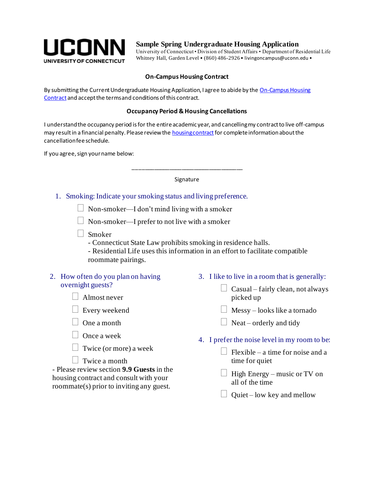

# **Sample Spring Undergraduate Housing Application**

University of Connecticut • Division of Student Affairs • Department of Residential Life Whitney Hall, Garden Level • (860) 486-2926 • livingoncampus@uconn.edu •

# **On-Campus Housing Contract**

By submitting the Current Undergraduate Housing Application, I agree to abide by the On-Campus Housing [Contract](http://www.reslife.uconn.edu/housing-contract-forms/) and accept the terms and conditions of this contract.

#### **Occupancy Period & Housing Cancellations**

I understand the occupancy period is for the entire academic year, and cancelling my contract to live off-campus may result in a financial penalty. Please review th[e housing contract](http://www.reslife.uconn.edu/housing-contract-forms/) for complete information about the cancellation fee schedule.

If you agree, sign your name below:

#### Signature

\_\_\_\_\_\_\_\_\_\_\_\_\_\_\_\_\_\_\_\_\_\_\_\_\_\_\_\_\_\_\_\_\_\_\_\_

### 1. Smoking: Indicate your smoking status and living preference.

 $\Box$  Non-smoker—I don't mind living with a smoker

 $\Box$  Non-smoker—I prefer to not live with a smoker

Smoker

- Connecticut State Law prohibits smoking in residence halls.

- Residential Life uses this information in an effort to facilitate compatible roommate pairings.

### 2. How often do you plan on having overnight guests?

 $\Box$  Almost never

- $\Box$  Every weekend
- $\Box$  One a month
- $\Box$  Once a week
- $\Box$  Twice (or more) a week

 $\vert \ \vert$  Twice a month

- Please review section **9.9 Guests** in the housing contract and consult with your roommate(s) prior to inviting any guest.

- 3. I like to live in a room that is generally:
	- $\Box$  Casual fairly clean, not always picked up
	- $\Box$  Messy looks like a tornado
	- $\Box$  Neat orderly and tidy
- 4. I prefer the noise level in my room to be:
	- Flexible a time for noise and a time for quiet
	- $\Box$  High Energy music or TV on all of the time
	- $\Box$  Quiet low key and mellow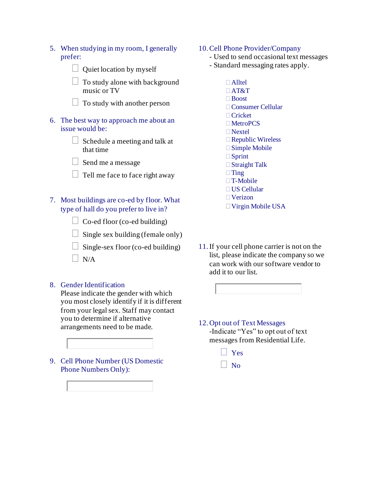- 5. When studying in my room, I generally prefer:
	- $\Box$  Quiet location by myself

 $\Box$  To study alone with background music or TV

- $\Box$  To study with another person
- 6. The best way to approach me about an issue would be:
	- $\Box$  Schedule a meeting and talk at that time
	- $\Box$  Send me a message
	- $\Box$  Tell me face to face right away

# 7. Most buildings are co-ed by floor. What type of hall do you prefer to live in?

- $\Box$  Co-ed floor (co-ed building)
- $\Box$  Single sex building (female only)
- $\Box$  Single-sex floor (co-ed building)
- $\Box$  N/A

#### 8. Gender Identification

Please indicate the gender with which you most closely identify if it is different from your legal sex. Staff may contact you to determine if alternative arrangements need to be made.

9. Cell Phone Number (US Domestic Phone Numbers Only):



## 10.Cell Phone Provider/Company

- Used to send occasional text messages
- Standard messaging rates apply.
	- $\Box$  Alltel AT&T Boost Consumer Cellular Cricket MetroPCS Nextel  $\Box$  Republic Wireless Simple Mobile □ Sprint □ Straight Talk  $\Box$ Ting □ T-Mobile US Cellular
	- Verizon
	- Virgin Mobile USA
- 11.If your cell phone carrier is not on the list, please indicate the company so we can work with our software vendor to add it to our list.



#### 12. Opt out of Text Messages -Indicate "Yes" to opt out of text

messages from Residential Life.

- Yes
- $\vert$  No